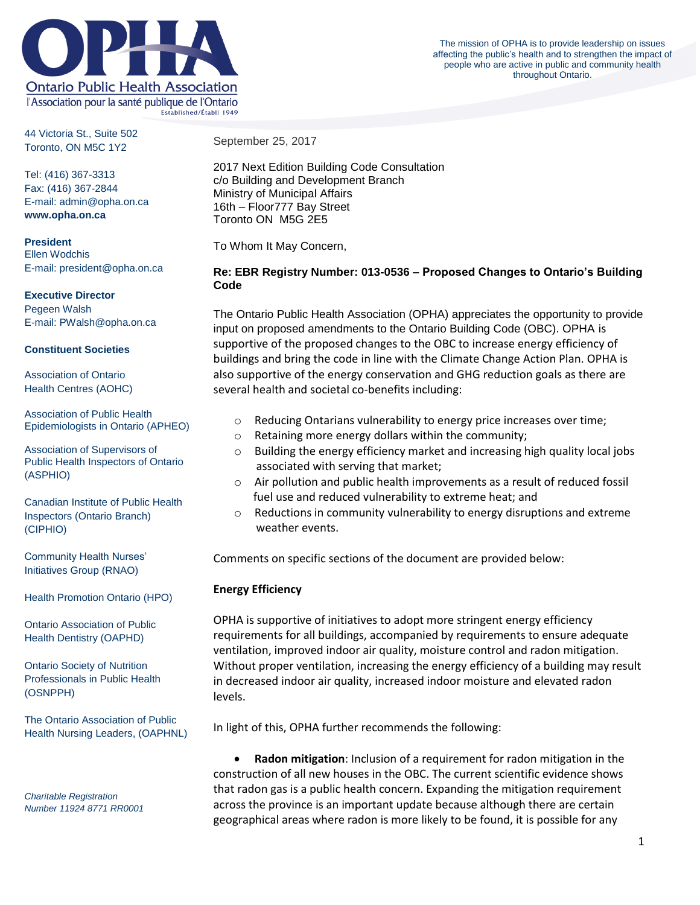

44 Victoria St., Suite 502 Toronto, ON M5C 1Y2

Tel: (416) 367-3313 Fax: (416) 367-2844 E-mail: admin@opha.on.ca **www.opha.on.ca**

**President** Ellen Wodchis E-mail: president@opha.on.ca

#### **Executive Director**

Pegeen Walsh E-mail: PWalsh@opha.on.ca

#### **Constituent Societies**

Association of Ontario Health Centres (AOHC)

Association of Public Health Epidemiologists in Ontario (APHEO)

Association of Supervisors of Public Health Inspectors of Ontario (ASPHIO)

Canadian Institute of Public Health Inspectors (Ontario Branch) (CIPHIO)

Community Health Nurses' Initiatives Group (RNAO)

Health Promotion Ontario (HPO)

Ontario Association of Public Health Dentistry (OAPHD)

Ontario Society of Nutrition Professionals in Public Health (OSNPPH)

The Ontario Association of Public Health Nursing Leaders, (OAPHNL)

*Charitable Registration Number 11924 8771 RR0001* September 25, 2017

2017 Next Edition Building Code Consultation c/o Building and Development Branch Ministry of Municipal Affairs 16th – Floor777 Bay Street Toronto ON M5G 2E5

To Whom It May Concern,

## **Re: EBR Registry Number: 013-0536 – Proposed Changes to Ontario's Building Code**

The Ontario Public Health Association (OPHA) appreciates the opportunity to provide input on proposed amendments to the Ontario Building Code (OBC). OPHA is supportive of the proposed changes to the OBC to increase energy efficiency of buildings and bring the code in line with the Climate Change Action Plan. OPHA is also supportive of the energy conservation and GHG reduction goals as there are several health and societal co-benefits including:

- o Reducing Ontarians vulnerability to energy price increases over time;
- o Retaining more energy dollars within the community;
- o Building the energy efficiency market and increasing high quality local jobs associated with serving that market;
- o Air pollution and public health improvements as a result of reduced fossil fuel use and reduced vulnerability to extreme heat; and
- $\circ$  Reductions in community vulnerability to energy disruptions and extreme weather events.

Comments on specific sections of the document are provided below:

## **Energy Efficiency**

OPHA is supportive of initiatives to adopt more stringent energy efficiency requirements for all buildings, accompanied by requirements to ensure adequate ventilation, improved indoor air quality, moisture control and radon mitigation. Without proper ventilation, increasing the energy efficiency of a building may result in decreased indoor air quality, increased indoor moisture and elevated radon levels.

In light of this, OPHA further recommends the following:

 **Radon mitigation**: Inclusion of a requirement for radon mitigation in the construction of all new houses in the OBC. The current scientific evidence shows that radon gas is a public health concern. Expanding the mitigation requirement across the province is an important update because although there are certain geographical areas where radon is more likely to be found, it is possible for any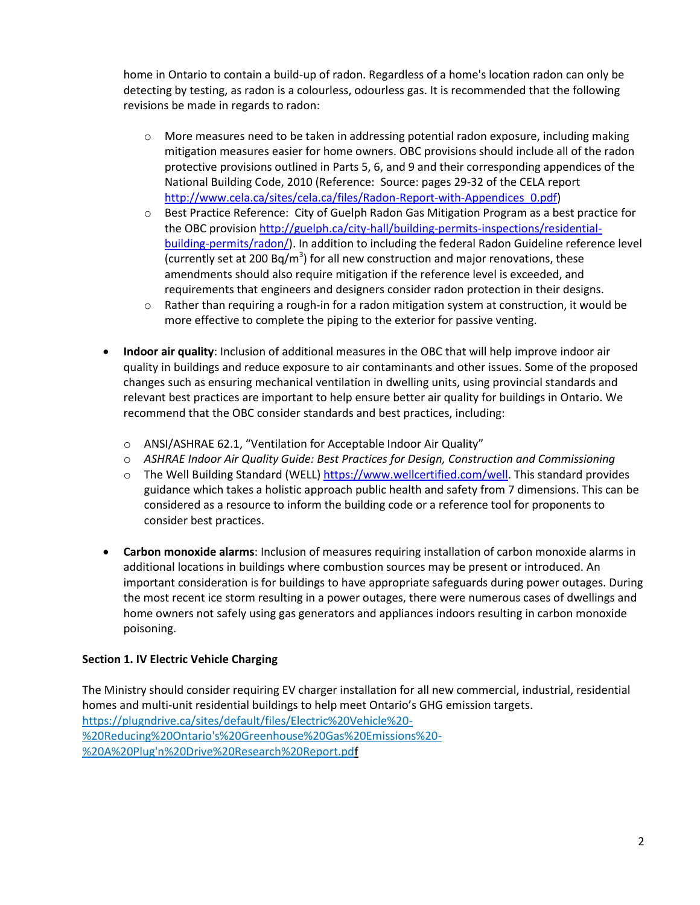home in Ontario to contain a build-up of radon. Regardless of a home's location radon can only be detecting by testing, as radon is a colourless, odourless gas. It is recommended that the following revisions be made in regards to radon:

- $\circ$  More measures need to be taken in addressing potential radon exposure, including making mitigation measures easier for home owners. OBC provisions should include all of the radon protective provisions outlined in Parts 5, 6, and 9 and their corresponding appendices of the National Building Code, 2010 (Reference: Source: pages 29-32 of the CELA report [http://www.cela.ca/sites/cela.ca/files/Radon-Report-with-Appendices\\_0.pdf\)](http://www.cela.ca/sites/cela.ca/files/Radon-Report-with-Appendices_0.pdf)
- o Best Practice Reference: City of Guelph Radon Gas Mitigation Program as a best practice for the OBC provision [http://guelph.ca/city-hall/building-permits-inspections/residential](http://guelph.ca/city-hall/building-permits-inspections/residential-building-permits/radon/)[building-permits/radon/\)](http://guelph.ca/city-hall/building-permits-inspections/residential-building-permits/radon/). In addition to including the federal Radon Guideline reference level (currently set at 200 Bq/m<sup>3</sup>) for all new construction and major renovations, these amendments should also require mitigation if the reference level is exceeded, and requirements that engineers and designers consider radon protection in their designs.
- $\circ$  Rather than requiring a rough-in for a radon mitigation system at construction, it would be more effective to complete the piping to the exterior for passive venting.
- **Indoor air quality**: Inclusion of additional measures in the OBC that will help improve indoor air quality in buildings and reduce exposure to air contaminants and other issues. Some of the proposed changes such as ensuring mechanical ventilation in dwelling units, using provincial standards and relevant best practices are important to help ensure better air quality for buildings in Ontario. We recommend that the OBC consider standards and best practices, including:
	- o ANSI/ASHRAE 62.1, "Ventilation for Acceptable Indoor Air Quality"
	- o *ASHRAE Indoor Air Quality Guide: Best Practices for Design, Construction and Commissioning*
	- o The Well Building Standard (WELL) [https://www.wellcertified.com/well.](https://www.wellcertified.com/well) This standard provides guidance which takes a holistic approach public health and safety from 7 dimensions. This can be considered as a resource to inform the building code or a reference tool for proponents to consider best practices.
- **Carbon monoxide alarms**: Inclusion of measures requiring installation of carbon monoxide alarms in additional locations in buildings where combustion sources may be present or introduced. An important consideration is for buildings to have appropriate safeguards during power outages. During the most recent ice storm resulting in a power outages, there were numerous cases of dwellings and home owners not safely using gas generators and appliances indoors resulting in carbon monoxide poisoning.

# **Section 1. IV Electric Vehicle Charging**

The Ministry should consider requiring EV charger installation for all new commercial, industrial, residential homes and multi-unit residential buildings to help meet Ontario's GHG emission targets. [https://plugndrive.ca/sites/default/files/Electric%20Vehicle%20-](https://plugndrive.ca/sites/default/files/Electric%20Vehicle%20-%20Reducing%20Ontario) [%20Reducing%20Ontario's%20Greenhouse%20Gas%20Emissions%20-](https://plugndrive.ca/sites/default/files/Electric%20Vehicle%20-%20Reducing%20Ontario) [%20A%20Plug'n%20Drive%20Research%20Report.pdf](https://plugndrive.ca/sites/default/files/Electric%20Vehicle%20-%20Reducing%20Ontario)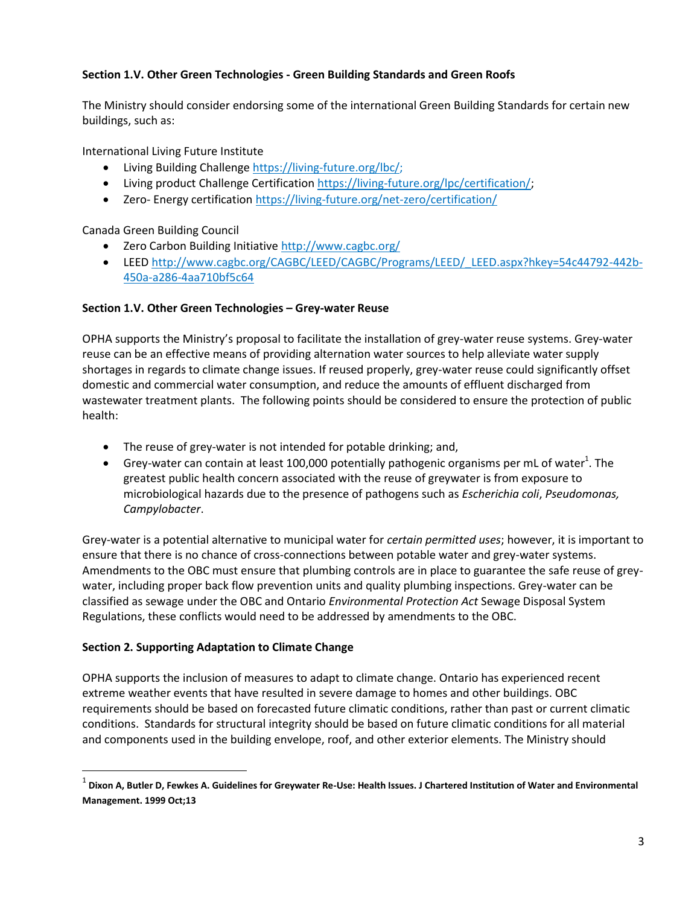# **Section 1.V. Other Green Technologies - Green Building Standards and Green Roofs**

The Ministry should consider endorsing some of the international Green Building Standards for certain new buildings, such as:

International Living Future Institute

- Living Building Challenge [https://living-future.org/lbc/;](https://living-future.org/lbc/)
- Living product Challenge Certificatio[n https://living-future.org/lpc/certification/;](https://living-future.org/lpc/certification/)
- Zero- Energy certificatio[n https://living-future.org/net-zero/certification/](https://living-future.org/net-zero/certification/)

Canada Green Building Council

- Zero Carbon Building Initiative<http://www.cagbc.org/>
- LEE[D http://www.cagbc.org/CAGBC/LEED/CAGBC/Programs/LEED/\\_LEED.aspx?hkey=54c44792-442b-](http://www.cagbc.org/CAGBC/LEED/CAGBC/Programs/LEED/_LEED.aspx?hkey=54c44792-442b-450a-a286-4aa710bf5c64)[450a-a286-4aa710bf5c64](http://www.cagbc.org/CAGBC/LEED/CAGBC/Programs/LEED/_LEED.aspx?hkey=54c44792-442b-450a-a286-4aa710bf5c64)

## **Section 1.V. Other Green Technologies – Grey-water Reuse**

OPHA supports the Ministry's proposal to facilitate the installation of grey-water reuse systems. Grey-water reuse can be an effective means of providing alternation water sources to help alleviate water supply shortages in regards to climate change issues. If reused properly, grey-water reuse could significantly offset domestic and commercial water consumption, and reduce the amounts of effluent discharged from wastewater treatment plants. The following points should be considered to ensure the protection of public health:

- The reuse of grey-water is not intended for potable drinking; and,
- Grey-water can contain at least 100,000 potentially pathogenic organisms per mL of water<sup>1</sup>. The greatest public health concern associated with the reuse of greywater is from exposure to microbiological hazards due to the presence of pathogens such as *Escherichia coli*, *Pseudomonas, Campylobacter*.

Grey-water is a potential alternative to municipal water for *certain permitted uses*; however, it is important to ensure that there is no chance of cross-connections between potable water and grey-water systems. Amendments to the OBC must ensure that plumbing controls are in place to guarantee the safe reuse of greywater, including proper back flow prevention units and quality plumbing inspections. Grey-water can be classified as sewage under the OBC and Ontario *Environmental Protection Act* Sewage Disposal System Regulations, these conflicts would need to be addressed by amendments to the OBC.

## **Section 2. Supporting Adaptation to Climate Change**

 $\overline{a}$ 

OPHA supports the inclusion of measures to adapt to climate change. Ontario has experienced recent extreme weather events that have resulted in severe damage to homes and other buildings. OBC requirements should be based on forecasted future climatic conditions, rather than past or current climatic conditions. Standards for structural integrity should be based on future climatic conditions for all material and components used in the building envelope, roof, and other exterior elements. The Ministry should

<sup>&</sup>lt;sup>1</sup> Dixon A, Butler D, Fewkes A. Guidelines for Greywater Re-Use: Health Issues. J Chartered Institution of Water and Environmental **Management. 1999 Oct;13**